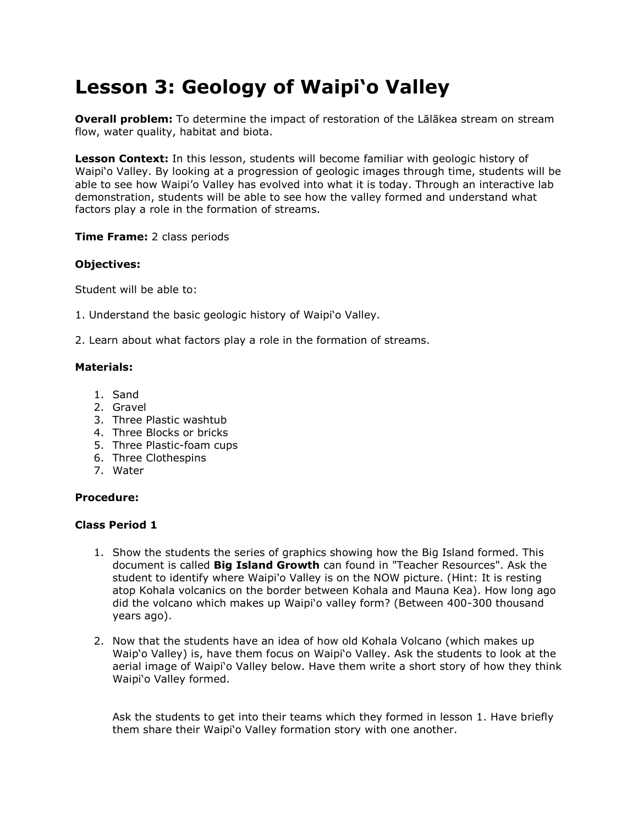# **Lesson 3: Geology of Waipi'o Valley**

**Overall problem:** To determine the impact of restoration of the Lālākea stream on stream flow, water quality, habitat and biota.

**Lesson Context:** In this lesson, students will become familiar with geologic history of Waipi'o Valley. By looking at a progression of geologic images through time, students will be able to see how Waipi'o Valley has evolved into what it is today. Through an interactive lab demonstration, students will be able to see how the valley formed and understand what factors play a role in the formation of streams.

#### **Time Frame:** 2 class periods

## **Objectives:**

Student will be able to:

- 1. Understand the basic geologic history of Waipi'o Valley.
- 2. Learn about what factors play a role in the formation of streams.

## **Materials:**

- 1. Sand
- 2. Gravel
- 3. Three Plastic washtub
- 4. Three Blocks or bricks
- 5. Three Plastic-foam cups
- 6. Three Clothespins
- 7. Water

#### **Procedure:**

## **Class Period 1**

- 1. Show the students the series of graphics showing how the Big Island formed. This document is called **Big Island Growth** can found in "Teacher Resources". Ask the student to identify where Waipi'o Valley is on the NOW picture. (Hint: It is resting atop Kohala volcanics on the border between Kohala and Mauna Kea). How long ago did the volcano which makes up Waipi'o valley form? (Between 400-300 thousand years ago).
- 2. Now that the students have an idea of how old Kohala Volcano (which makes up Waip'o Valley) is, have them focus on Waipi'o Valley. Ask the students to look at the aerial image of Waipi'o Valley below. Have them write a short story of how they think Waipi'o Valley formed.

Ask the students to get into their teams which they formed in lesson 1. Have briefly them share their Waipi'o Valley formation story with one another.